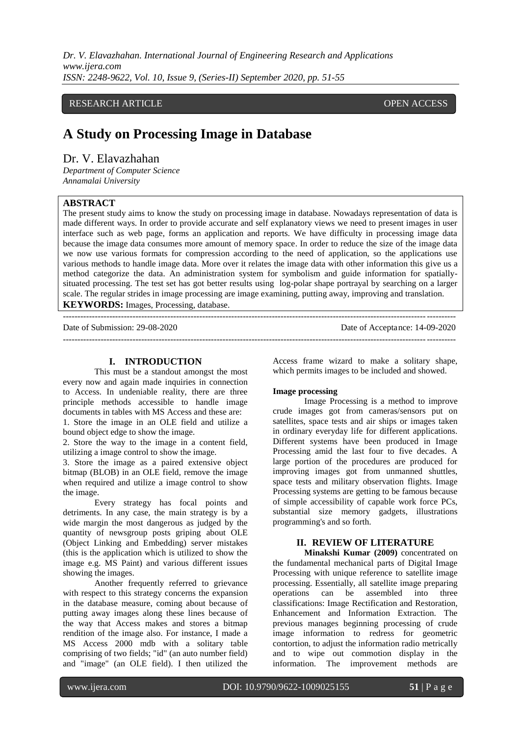*Dr. V. Elavazhahan. International Journal of Engineering Research and Applications www.ijera.com ISSN: 2248-9622, Vol. 10, Issue 9, (Series-II) September 2020, pp. 51-55*

## RESEARCH ARTICLE **CONSERVERS** OPEN ACCESS

# **A Study on Processing Image in Database**

# Dr. V. Elavazhahan

*Department of Computer Science Annamalai University*

## **ABSTRACT**

The present study aims to know the study on processing image in database. Nowadays representation of data is made different ways. In order to provide accurate and self explanatory views we need to present images in user interface such as web page, forms an application and reports. We have difficulty in processing image data because the image data consumes more amount of memory space. In order to reduce the size of the image data we now use various formats for compression according to the need of application, so the applications use various methods to handle image data. More over it relates the image data with other information this give us a method categorize the data. An administration system for symbolism and guide information for spatiallysituated processing. The test set has got better results using log-polar shape portrayal by searching on a larger scale. The regular strides in image processing are image examining, putting away, improving and translation. **KEYWORDS:** Images, Processing, database.

---------------------------------------------------------------------------------------------------------------------------------------

Date of Submission: 29-08-2020 Date of Acceptance: 14-09-2020 ---------------------------------------------------------------------------------------------------------------------------------------

### **I. INTRODUCTION**

This must be a standout amongst the most every now and again made inquiries in connection to Access. In undeniable reality, there are three principle methods accessible to handle image documents in tables with MS Access and these are: 1. Store the image in an OLE field and utilize a bound object edge to show the image.

2. Store the way to the image in a content field, utilizing a image control to show the image.

3. Store the image as a paired extensive object bitmap (BLOB) in an OLE field, remove the image when required and utilize a image control to show the image.

Every strategy has focal points and detriments. In any case, the main strategy is by a wide margin the most dangerous as judged by the quantity of newsgroup posts griping about OLE (Object Linking and Embedding) server mistakes (this is the application which is utilized to show the image e.g. MS Paint) and various different issues showing the images.

Another frequently referred to grievance with respect to this strategy concerns the expansion in the database measure, coming about because of putting away images along these lines because of the way that Access makes and stores a bitmap rendition of the image also. For instance, I made a MS Access 2000 mdb with a solitary table comprising of two fields; "id" (an auto number field) and "image" (an OLE field). I then utilized the Access frame wizard to make a solitary shape, which permits images to be included and showed.

#### **Image processing**

Image Processing is a method to improve crude images got from cameras/sensors put on satellites, space tests and air ships or images taken in ordinary everyday life for different applications. Different systems have been produced in Image Processing amid the last four to five decades. A large portion of the procedures are produced for improving images got from unmanned shuttles, space tests and military observation flights. Image Processing systems are getting to be famous because of simple accessibility of capable work force PCs, substantial size memory gadgets, illustrations programming's and so forth.

## **II. REVIEW OF LITERATURE**

**Minakshi Kumar (2009)** concentrated on the fundamental mechanical parts of Digital Image Processing with unique reference to satellite image processing. Essentially, all satellite image preparing operations can be assembled into three classifications: Image Rectification and Restoration, Enhancement and Information Extraction. The previous manages beginning processing of crude image information to redress for geometric contortion, to adjust the information radio metrically and to wipe out commotion display in the information. The improvement methods are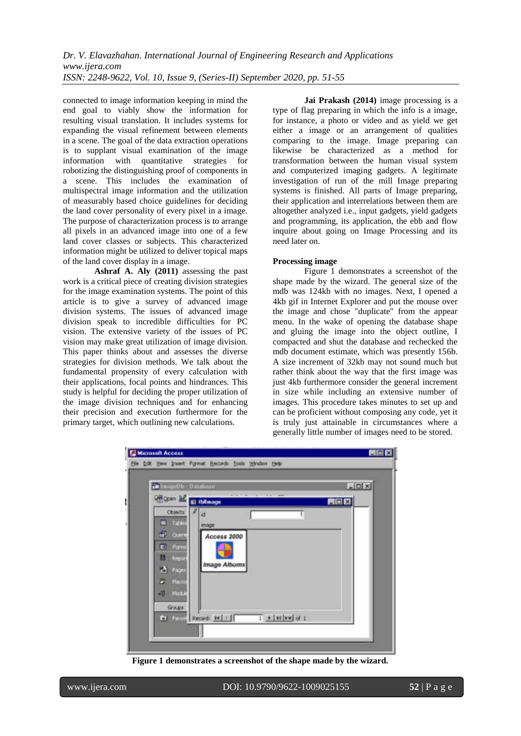connected to image information keeping in mind the end goal to viably show the information for resulting visual translation. It includes systems for expanding the visual refinement between elements in a scene. The goal of the data extraction operations is to supplant visual examination of the image information with quantitative strategies for robotizing the distinguishing proof of components in a scene. This includes the examination of multispectral image information and the utilization of measurably based choice guidelines for deciding the land cover personality of every pixel in a image. The purpose of characterization process is to arrange all pixels in an advanced image into one of a few land cover classes or subjects. This characterized information might be utilized to deliver topical maps of the land cover display in a image.

**Ashraf A. Aly (2011)** assessing the past work is a critical piece of creating division strategies for the image examination systems. The point of this article is to give a survey of advanced image division systems. The issues of advanced image division speak to incredible difficulties for PC vision. The extensive variety of the issues of PC vision may make great utilization of image division. This paper thinks about and assesses the diverse strategies for division methods. We talk about the fundamental propensity of every calculation with their applications, focal points and hindrances. This study is helpful for deciding the proper utilization of the image division techniques and for enhancing their precision and execution furthermore for the primary target, which outlining new calculations.

**Jai Prakash (2014)** image processing is a type of flag preparing in which the info is a image, for instance, a photo or video and as yield we get either a image or an arrangement of qualities comparing to the image. Image preparing can likewise be characterized as a method for transformation between the human visual system and computerized imaging gadgets. A legitimate investigation of run of the mill Image preparing systems is finished. All parts of Image preparing, their application and interrelations between them are altogether analyzed i.e., input gadgets, yield gadgets and programming, its application, the ebb and flow inquire about going on Image Processing and its need later on.

### **Processing image**

Figure 1 demonstrates a screenshot of the shape made by the wizard. The general size of the mdb was 124kb with no images. Next, I opened a 4kb gif in Internet Explorer and put the mouse over the image and chose "duplicate" from the appear menu. In the wake of opening the database shape and gluing the image into the object outline, I compacted and shut the database and rechecked the mdb document estimate, which was presently 156b. A size increment of 32kb may not sound much but rather think about the way that the first image was just 4kb furthermore consider the general increment in size while including an extensive number of images. This procedure takes minutes to set up and can be proficient without composing any code, yet it is truly just attainable in circumstances where a generally little number of images need to be stored.

| in ImageOb: Database                     |                            | $ A $ $\Box$ $ X $ |
|------------------------------------------|----------------------------|--------------------|
| <b>Crispen M. El thilmage</b>            |                            | 目回回                |
| $C0$ objects $ I $ id<br><b>M</b> Tables |                            |                    |
| image<br>a Cuerte                        |                            |                    |
| El Forms                                 | Access 2000                |                    |
| <b>All Report</b>                        |                            |                    |
| d Pages                                  | <i><b>Image Albums</b></i> |                    |
| $\blacktriangleright$ Macro              |                            |                    |
| <b>All Module</b>                        |                            |                    |
| Groups                                   |                            |                    |

**Figure 1 demonstrates a screenshot of the shape made by the wizard.**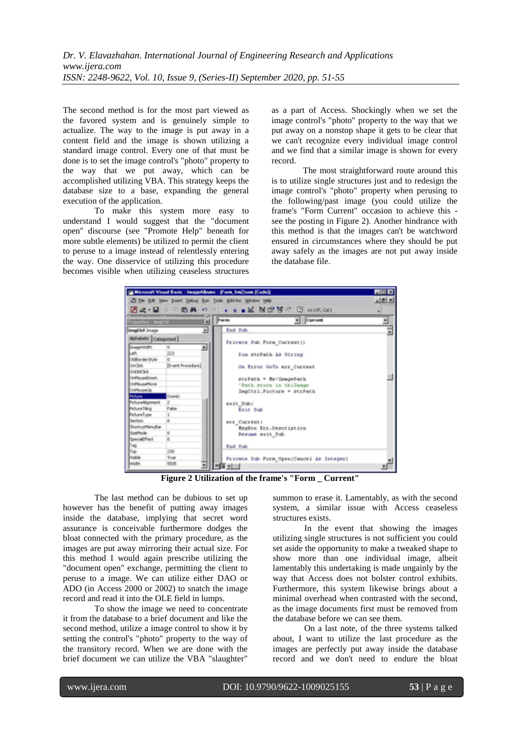The second method is for the most part viewed as the favored system and is genuinely simple to actualize. The way to the image is put away in a content field and the image is shown utilizing a standard image control. Every one of that must be done is to set the image control's "photo" property to the way that we put away, which can be accomplished utilizing VBA. This strategy keeps the database size to a base, expanding the general execution of the application.

To make this system more easy to understand I would suggest that the "document open" discourse (see "Promote Help" beneath for more subtle elements) be utilized to permit the client to peruse to a image instead of relentlessly entering the way. One disservice of utilizing this procedure becomes visible when utilizing ceaseless structures

as a part of Access. Shockingly when we set the image control's "photo" property to the way that we put away on a nonstop shape it gets to be clear that we can't recognize every individual image control and we find that a similar image is shown for every record.

The most straightforward route around this is to utilize single structures just and to redesign the image control's "photo" property when perusing to the following/past image (you could utilize the frame's "Form Current" occasion to achieve this see the posting in Figure 2). Another hindrance with this method is that the images can't be watchword ensured in circumstances where they should be put away safely as the images are not put away inside the database file.



**Figure 2 Utilization of the frame's "Form \_ Current"**

The last method can be dubious to set up however has the benefit of putting away images inside the database, implying that secret word assurance is conceivable furthermore dodges the bloat connected with the primary procedure, as the images are put away mirroring their actual size. For this method I would again prescribe utilizing the "document open" exchange, permitting the client to peruse to a image. We can utilize either DAO or ADO (in Access 2000 or 2002) to snatch the image record and read it into the OLE field in lumps.

To show the image we need to concentrate it from the database to a brief document and like the second method, utilize a image control to show it by setting the control's "photo" property to the way of the transitory record. When we are done with the brief document we can utilize the VBA "slaughter"

summon to erase it. Lamentably, as with the second system, a similar issue with Access ceaseless structures exists.

In the event that showing the images utilizing single structures is not sufficient you could set aside the opportunity to make a tweaked shape to show more than one individual image, albeit lamentably this undertaking is made ungainly by the way that Access does not bolster control exhibits. Furthermore, this system likewise brings about a minimal overhead when contrasted with the second, as the image documents first must be removed from the database before we can see them.

On a last note, of the three systems talked about, I want to utilize the last procedure as the images are perfectly put away inside the database record and we don't need to endure the bloat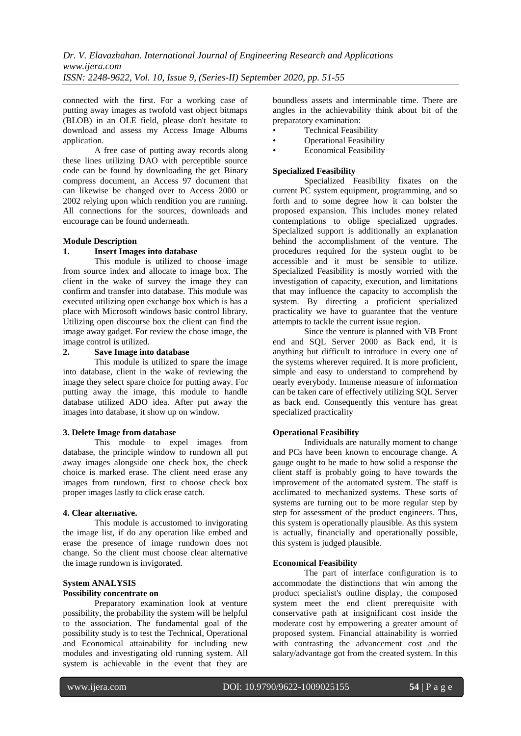connected with the first. For a working case of putting away images as twofold vast object bitmaps (BLOB) in an OLE field, please don't hesitate to download and assess my Access Image Albums application.

A free case of putting away records along these lines utilizing DAO with perceptible source code can be found by downloading the get Binary compress document, an Access 97 document that can likewise be changed over to Access 2000 or 2002 relying upon which rendition you are running. All connections for the sources, downloads and encourage can be found underneath.

#### **Module Description**

#### **1. Insert Images into database**

This module is utilized to choose image from source index and allocate to image box. The client in the wake of survey the image they can confirm and transfer into database. This module was executed utilizing open exchange box which is has a place with Microsoft windows basic control library. Utilizing open discourse box the client can find the image away gadget. For review the chose image, the image control is utilized.

### **2. Save Image into database**

This module is utilized to spare the image into database, client in the wake of reviewing the image they select spare choice for putting away. For putting away the image, this module to handle database utilized ADO idea. After put away the images into database, it show up on window.

#### **3. Delete Image from database**

This module to expel images from database, the principle window to rundown all put away images alongside one check box, the check choice is marked erase. The client need erase any images from rundown, first to choose check box proper images lastly to click erase catch.

#### **4. Clear alternative.**

This module is accustomed to invigorating the image list, if do any operation like embed and erase the presence of image rundown does not change. So the client must choose clear alternative the image rundown is invigorated.

## **System ANALYSIS**

## **Possibility concentrate on**

Preparatory examination look at venture possibility, the probability the system will be helpful to the association. The fundamental goal of the possibility study is to test the Technical, Operational and Economical attainability for including new modules and investigating old running system. All system is achievable in the event that they are boundless assets and interminable time. There are angles in the achievability think about bit of the preparatory examination:

- Technical Feasibility
- Operational Feasibility
- **Economical Feasibility**

#### **Specialized Feasibility**

Specialized Feasibility fixates on the current PC system equipment, programming, and so forth and to some degree how it can bolster the proposed expansion. This includes money related contemplations to oblige specialized upgrades. Specialized support is additionally an explanation behind the accomplishment of the venture. The procedures required for the system ought to be accessible and it must be sensible to utilize. Specialized Feasibility is mostly worried with the investigation of capacity, execution, and limitations that may influence the capacity to accomplish the system. By directing a proficient specialized practicality we have to guarantee that the venture attempts to tackle the current issue region.

Since the venture is planned with VB Front end and SQL Server 2000 as Back end, it is anything but difficult to introduce in every one of the systems wherever required. It is more proficient, simple and easy to understand to comprehend by nearly everybody. Immense measure of information can be taken care of effectively utilizing SQL Server as back end. Consequently this venture has great specialized practicality

### **Operational Feasibility**

Individuals are naturally moment to change and PCs have been known to encourage change. A gauge ought to be made to how solid a response the client staff is probably going to have towards the improvement of the automated system. The staff is acclimated to mechanized systems. These sorts of systems are turning out to be more regular step by step for assessment of the product engineers. Thus, this system is operationally plausible. As this system is actually, financially and operationally possible, this system is judged plausible.

### **Economical Feasibility**

The part of interface configuration is to accommodate the distinctions that win among the product specialist's outline display, the composed system meet the end client prerequisite with conservative path at insignificant cost inside the moderate cost by empowering a greater amount of proposed system. Financial attainability is worried with contrasting the advancement cost and the salary/advantage got from the created system. In this